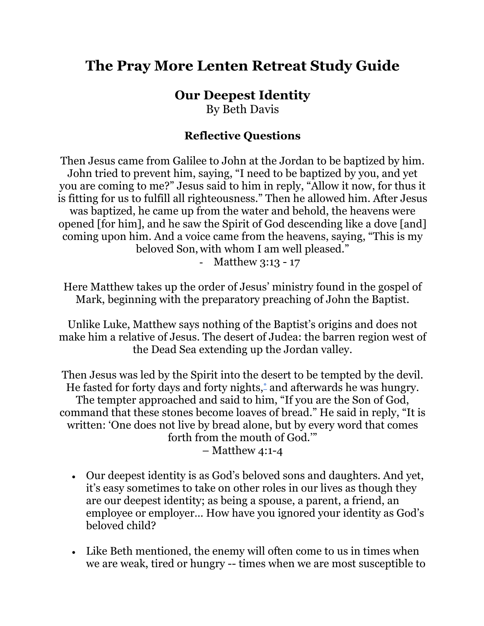## **The Pray More Lenten Retreat Study Guide**

## **Our Deepest Identity**

By Beth Davis

## **Reflective Questions**

Then Jesus came from Galilee to John at the Jordan to be baptized by him. John tried to prevent him, saying, "I need to be baptized by you, and yet you are coming to me?" Jesus said to him in reply, "Allow it now, for thus it is fitting for us to fulfill all righteousness." Then he allowed him. After Jesus was baptized, he came up from the water and behold, the heavens were opened [for him], and he saw the Spirit of God descending like a dove [and] coming upon him. And a voice came from the heavens, saying, "This is my beloved Son, with whom I am well pleased."

- Matthew 3:13 - 17

Here Matthew takes up the order of Jesus' ministry found in the gospel of Mark, beginning with the preparatory preaching of John the Baptist.

Unlike Luke, Matthew says nothing of the Baptist's origins and does not make him a relative of Jesus. The desert of Judea: the barren region west of the Dead Sea extending up the Jordan valley.

Then Jesus was led by the Spirit into the desert to be tempted by the devil. He fasted for forty days and forty nights, \* and afterwards he was hungry. The tempter approached and said to him, "If you are the Son of God, command that these stones become loaves of bread." He said in reply, "It is written: 'One does not live by bread alone, but by every word that comes forth from the mouth of God.'" – Matthew 4:1-4

- Our deepest identity is as God's beloved sons and daughters. And yet, it's easy sometimes to take on other roles in our lives as though they are our deepest identity; as being a spouse, a parent, a friend, an employee or employer… How have you ignored your identity as God's beloved child?
- Like Beth mentioned, the enemy will often come to us in times when we are weak, tired or hungry -- times when we are most susceptible to